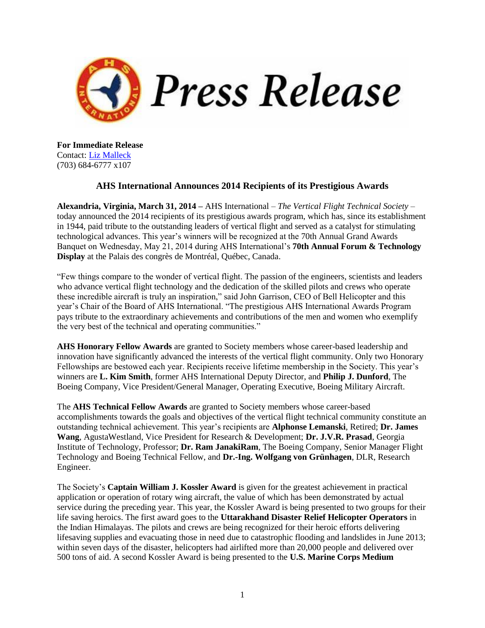

**For Immediate Release** Contact: [Liz Malleck](mailto:lmalleck@vtol.org) (703) 684-6777 x107

## **AHS International Announces 2014 Recipients of its Prestigious Awards**

**Alexandria, Virginia, March 31, 2014 –** AHS International – *The Vertical Flight Technical Society* – today announced the 2014 recipients of its prestigious awards program, which has, since its establishment in 1944, paid tribute to the outstanding leaders of vertical flight and served as a catalyst for stimulating technological advances. This year's winners will be recognized at the 70th Annual Grand Awards Banquet on Wednesday, May 21, 2014 during AHS International's **70th Annual Forum & Technology Display** at the Palais des congrès de Montréal, Québec, Canada.

"Few things compare to the wonder of vertical flight. The passion of the engineers, scientists and leaders who advance vertical flight technology and the dedication of the skilled pilots and crews who operate these incredible aircraft is truly an inspiration," said John Garrison, CEO of Bell Helicopter and this year's Chair of the Board of AHS International. "The prestigious AHS International Awards Program pays tribute to the extraordinary achievements and contributions of the men and women who exemplify the very best of the technical and operating communities."

**AHS Honorary Fellow Awards** are granted to Society members whose career-based leadership and innovation have significantly advanced the interests of the vertical flight community. Only two Honorary Fellowships are bestowed each year. Recipients receive lifetime membership in the Society. This year's winners are **L. Kim Smith**, former AHS International Deputy Director, and **Philip J. Dunford**, The Boeing Company, Vice President/General Manager, Operating Executive, Boeing Military Aircraft.

The **AHS Technical Fellow Awards** are granted to Society members whose career-based accomplishments towards the goals and objectives of the vertical flight technical community constitute an outstanding technical achievement. This year's recipients are **Alphonse Lemanski**, Retired; **Dr. James Wang**, AgustaWestland, Vice President for Research & Development; **Dr. J.V.R. Prasad**, Georgia Institute of Technology, Professor; **Dr. Ram JanakiRam**, The Boeing Company, Senior Manager Flight Technology and Boeing Technical Fellow, and **Dr.-Ing. Wolfgang von Grünhagen**, DLR, Research Engineer.

The Society's **Captain William J. Kossler Award** is given for the greatest achievement in practical application or operation of rotary wing aircraft, the value of which has been demonstrated by actual service during the preceding year. This year, the Kossler Award is being presented to two groups for their life saving heroics. The first award goes to the **Uttarakhand Disaster Relief Helicopter Operators** in the Indian Himalayas. The pilots and crews are being recognized for their heroic efforts delivering lifesaving supplies and evacuating those in need due to catastrophic flooding and landslides in June 2013; within seven days of the disaster, helicopters had airlifted more than 20,000 people and delivered over 500 tons of aid. A second Kossler Award is being presented to the **U.S. Marine Corps Medium**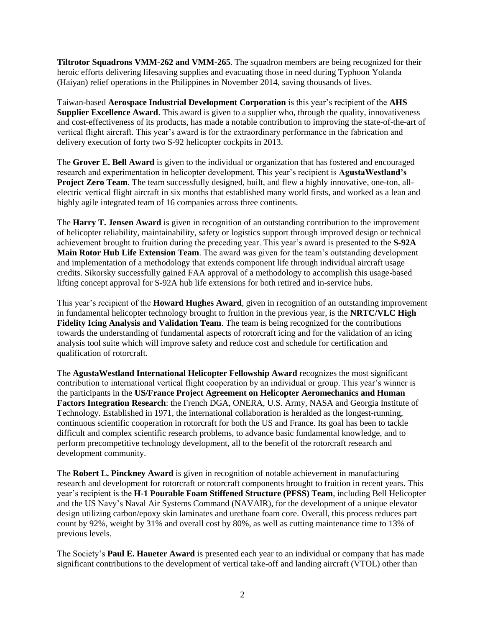**Tiltrotor Squadrons VMM-262 and VMM-265**. The squadron members are being recognized for their heroic efforts delivering lifesaving supplies and evacuating those in need during Typhoon Yolanda (Haiyan) relief operations in the Philippines in November 2014, saving thousands of lives.

Taiwan-based **Aerospace Industrial Development Corporation** is this year's recipient of the **AHS Supplier Excellence Award**. This award is given to a supplier who, through the quality, innovativeness and cost-effectiveness of its products, has made a notable contribution to improving the state-of-the-art of vertical flight aircraft. This year's award is for the extraordinary performance in the fabrication and delivery execution of forty two S-92 helicopter cockpits in 2013.

The **Grover E. Bell Award** is given to the individual or organization that has fostered and encouraged research and experimentation in helicopter development. This year's recipient is **AgustaWestland's Project Zero Team**. The team successfully designed, built, and flew a highly innovative, one-ton, allelectric vertical flight aircraft in six months that established many world firsts, and worked as a lean and highly agile integrated team of 16 companies across three continents.

The **Harry T. Jensen Award** is given in recognition of an outstanding contribution to the improvement of helicopter reliability, maintainability, safety or logistics support through improved design or technical achievement brought to fruition during the preceding year. This year's award is presented to the **S-92A Main Rotor Hub Life Extension Team**. The award was given for the team's outstanding development and implementation of a methodology that extends component life through individual aircraft usage credits. Sikorsky successfully gained FAA approval of a methodology to accomplish this usage-based lifting concept approval for S-92A hub life extensions for both retired and in-service hubs.

This year's recipient of the **Howard Hughes Award**, given in recognition of an outstanding improvement in fundamental helicopter technology brought to fruition in the previous year, is the **NRTC/VLC High Fidelity Icing Analysis and Validation Team**. The team is being recognized for the contributions towards the understanding of fundamental aspects of rotorcraft icing and for the validation of an icing analysis tool suite which will improve safety and reduce cost and schedule for certification and qualification of rotorcraft.

The **AgustaWestland International Helicopter Fellowship Award** recognizes the most significant contribution to international vertical flight cooperation by an individual or group. This year's winner is the participants in the **US/France Project Agreement on Helicopter Aeromechanics and Human Factors Integration Research**: the French DGA, ONERA, U.S. Army, NASA and Georgia Institute of Technology. Established in 1971, the international collaboration is heralded as the longest-running, continuous scientific cooperation in rotorcraft for both the US and France. Its goal has been to tackle difficult and complex scientific research problems, to advance basic fundamental knowledge, and to perform precompetitive technology development, all to the benefit of the rotorcraft research and development community.

The **Robert L. Pinckney Award** is given in recognition of notable achievement in manufacturing research and development for rotorcraft or rotorcraft components brought to fruition in recent years. This year's recipient is the **H-1 Pourable Foam Stiffened Structure (PFSS) Team**, including Bell Helicopter and the US Navy's Naval Air Systems Command (NAVAIR), for the development of a unique elevator design utilizing carbon/epoxy skin laminates and urethane foam core. Overall, this process reduces part count by 92%, weight by 31% and overall cost by 80%, as well as cutting maintenance time to 13% of previous levels.

The Society's **Paul E. Haueter Award** is presented each year to an individual or company that has made significant contributions to the development of vertical take-off and landing aircraft (VTOL) other than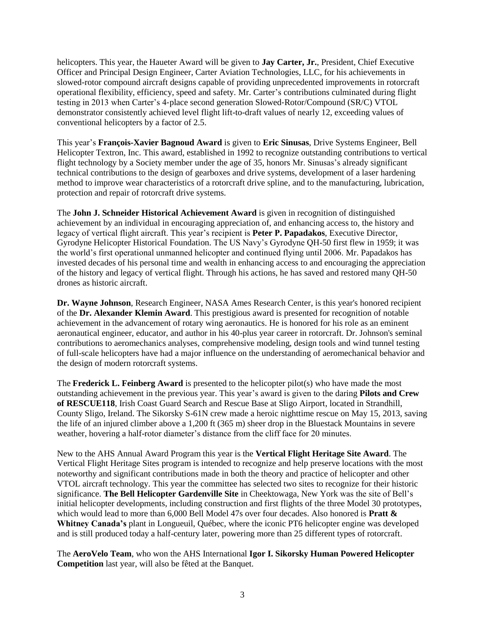helicopters. This year, the Haueter Award will be given to **Jay Carter, Jr.**, President, Chief Executive Officer and Principal Design Engineer, Carter Aviation Technologies, LLC, for his achievements in slowed-rotor compound aircraft designs capable of providing unprecedented improvements in rotorcraft operational flexibility, efficiency, speed and safety. Mr. Carter's contributions culminated during flight testing in 2013 when Carter's 4‐place second generation Slowed‐Rotor/Compound (SR/C) VTOL demonstrator consistently achieved level flight lift-to-draft values of nearly 12, exceeding values of conventional helicopters by a factor of 2.5.

This year's **François-Xavier Bagnoud Award** is given to **Eric Sinusas**, Drive Systems Engineer, Bell Helicopter Textron, Inc. This award, established in 1992 to recognize outstanding contributions to vertical flight technology by a Society member under the age of 35, honors Mr. Sinusas's already significant technical contributions to the design of gearboxes and drive systems, development of a laser hardening method to improve wear characteristics of a rotorcraft drive spline, and to the manufacturing, lubrication, protection and repair of rotorcraft drive systems.

The **John J. Schneider Historical Achievement Award** is given in recognition of distinguished achievement by an individual in encouraging appreciation of, and enhancing access to, the history and legacy of vertical flight aircraft. This year's recipient is **Peter P. Papadakos**, Executive Director, Gyrodyne Helicopter Historical Foundation. The US Navy's Gyrodyne QH-50 first flew in 1959; it was the world's first operational unmanned helicopter and continued flying until 2006. Mr. Papadakos has invested decades of his personal time and wealth in enhancing access to and encouraging the appreciation of the history and legacy of vertical flight. Through his actions, he has saved and restored many QH-50 drones as historic aircraft.

**Dr. Wayne Johnson**, Research Engineer, NASA Ames Research Center, is this year's honored recipient of the **Dr. Alexander Klemin Award**. This prestigious award is presented for recognition of notable achievement in the advancement of rotary wing aeronautics. He is honored for his role as an eminent aeronautical engineer, educator, and author in his 40-plus year career in rotorcraft. Dr. Johnson's seminal contributions to aeromechanics analyses, comprehensive modeling, design tools and wind tunnel testing of full-scale helicopters have had a major influence on the understanding of aeromechanical behavior and the design of modern rotorcraft systems.

The **Frederick L. Feinberg Award** is presented to the helicopter pilot(s) who have made the most outstanding achievement in the previous year. This year's award is given to the daring **Pilots and Crew of RESCUE118**, Irish Coast Guard Search and Rescue Base at Sligo Airport, located in Strandhill, County Sligo, Ireland. The Sikorsky S-61N crew made a heroic nighttime rescue on May 15, 2013, saving the life of an injured climber above a 1,200 ft (365 m) sheer drop in the Bluestack Mountains in severe weather, hovering a half-rotor diameter's distance from the cliff face for 20 minutes.

New to the AHS Annual Award Program this year is the **Vertical Flight Heritage Site Award**. The Vertical Flight Heritage Sites program is intended to recognize and help preserve locations with the most noteworthy and significant contributions made in both the theory and practice of helicopter and other VTOL aircraft technology. This year the committee has selected two sites to recognize for their historic significance. **The Bell Helicopter Gardenville Site** in Cheektowaga, New York was the site of Bell's initial helicopter developments, including construction and first flights of the three Model 30 prototypes, which would lead to more than 6,000 Bell Model 47s over four decades. Also honored is **Pratt & Whitney Canada's** plant in Longueuil, Québec, where the iconic PT6 helicopter engine was developed and is still produced today a half-century later, powering more than 25 different types of rotorcraft.

The **AeroVelo Team**, who won the AHS International **Igor I. Sikorsky Human Powered Helicopter Competition** last year, will also be fêted at the Banquet.